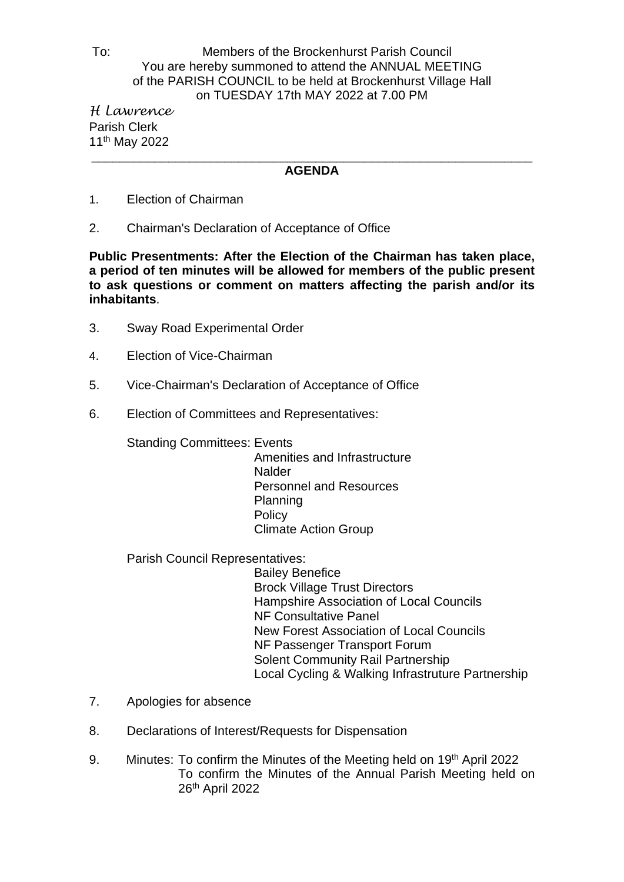## To: Members of the Brockenhurst Parish Council You are hereby summoned to attend the ANNUAL MEETING of the PARISH COUNCIL to be held at Brockenhurst Village Hall on TUESDAY 17th MAY 2022 at 7.00 PM

*H Lawrence* Parish Clerk 11th May 2022 \_\_\_\_\_\_\_\_\_\_\_\_\_\_\_\_\_\_\_\_\_\_\_\_\_\_\_\_\_\_\_\_\_\_\_\_\_\_\_\_\_\_\_\_\_\_\_\_\_\_\_\_\_\_\_\_\_\_\_\_\_\_\_

## **AGENDA**

- 1. Election of Chairman
- 2. Chairman's Declaration of Acceptance of Office

**Public Presentments: After the Election of the Chairman has taken place, a period of ten minutes will be allowed for members of the public present to ask questions or comment on matters affecting the parish and/or its inhabitants**.

- 3. Sway Road Experimental Order
- 4. Election of Vice-Chairman
- 5. Vice-Chairman's Declaration of Acceptance of Office
- 6. Election of Committees and Representatives:

Standing Committees: Events

 Amenities and Infrastructure **Nalder**  Personnel and Resources Planning **Policy** Climate Action Group

Parish Council Representatives:

 Bailey Benefice Brock Village Trust Directors Hampshire Association of Local Councils NF Consultative Panel New Forest Association of Local Councils NF Passenger Transport Forum Solent Community Rail Partnership Local Cycling & Walking Infrastruture Partnership

- 7. Apologies for absence
- 8. Declarations of Interest/Requests for Dispensation
- 9. Minutes: To confirm the Minutes of the Meeting held on 19<sup>th</sup> April 2022 To confirm the Minutes of the Annual Parish Meeting held on 26<sup>th</sup> April 2022